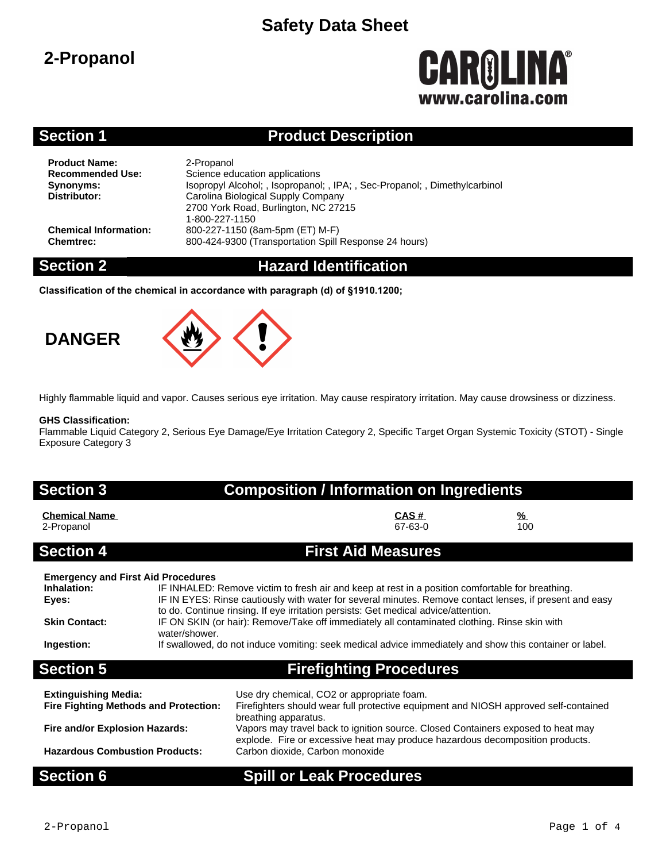### **2-Propanol**

# **CAROLINA** www.carolina.co

### **Section 1 Product Description**

**Product Name:** 2-Propanol<br> **Recommended Use:** Science ed

**Science education applications Synonyms:** Isopropyl Alcohol; , Isopropanol; , IPA; , Sec-Propanol; , Dimethylcarbinol<br>**Distributor:** Carolina Biological Supply Company **Distributor:** Carolina Biological Supply Company 2700 York Road, Burlington, NC 27215 1-800-227-1150 **Chemical Information:** 800-227-1150 (8am-5pm (ET) M-F) **Chemtrec:** 800-424-9300 (Transportation Spill Response 24 hours)

### **Section 2 Hazard Identification**

**Classification of the chemical in accordance with paragraph (d) of §1910.1200;**





Highly flammable liquid and vapor. Causes serious eye irritation. May cause respiratory irritation. May cause drowsiness or dizziness.

### **GHS Classification:**

Flammable Liquid Category 2, Serious Eye Damage/Eye Irritation Category 2, Specific Target Organ Systemic Toxicity (STOT) - Single Exposure Category 3

### **Section 3 Composition / Information on Ingredients**

| <b>Chemical Name</b> | CAS#            | $\frac{9}{6}$ |  |
|----------------------|-----------------|---------------|--|
| 2-Propanol           | 67-63-0         | 100           |  |
| –                    | _________<br>__ |               |  |

### **Section 4 First Aid Measures**

| <b>Emergency and First Aid Procedures</b> |                                                                                                               |
|-------------------------------------------|---------------------------------------------------------------------------------------------------------------|
| Inhalation:                               | IF INHALED: Remove victim to fresh air and keep at rest in a position comfortable for breathing.              |
| Eyes:                                     | IF IN EYES: Rinse cautiously with water for several minutes. Remove contact lenses, if present and easy       |
|                                           | to do. Continue rinsing. If eye irritation persists: Get medical advice/attention.                            |
| <b>Skin Contact:</b>                      | IF ON SKIN (or hair): Remove/Take off immediately all contaminated clothing. Rinse skin with<br>water/shower. |
| Ingestion:                                | If swallowed, do not induce vomiting: seek medical advice immediately and show this container or label.       |
| <b>Section 5</b>                          | <b>Firefighting Procedures</b>                                                                                |

| <b>Extinguishing Media:</b><br><b>Fire Fighting Methods and Protection:</b> | Use dry chemical, CO2 or appropriate foam.<br>Firefighters should wear full protective equipment and NIOSH approved self-contained<br>breathing apparatus.        |
|-----------------------------------------------------------------------------|-------------------------------------------------------------------------------------------------------------------------------------------------------------------|
| Fire and/or Explosion Hazards:                                              | Vapors may travel back to ignition source. Closed Containers exposed to heat may<br>explode. Fire or excessive heat may produce hazardous decomposition products. |
| <b>Hazardous Combustion Products:</b>                                       | Carbon dioxide, Carbon monoxide                                                                                                                                   |

### **Section 6 Spill or Leak Procedures**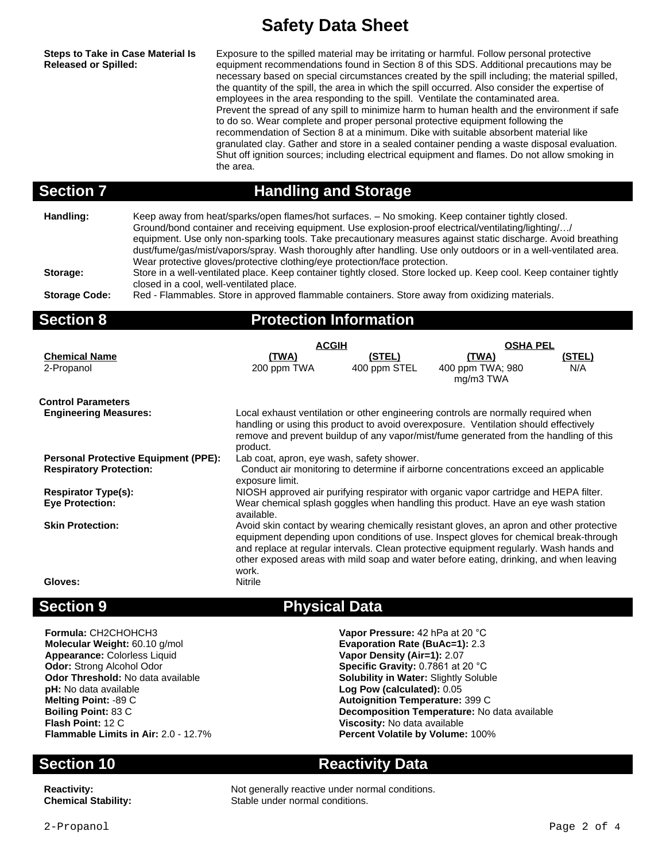**Steps to Take in Case Material Is Released or Spilled:**

Exposure to the spilled material may be irritating or harmful. Follow personal protective equipment recommendations found in Section 8 of this SDS. Additional precautions may be necessary based on special circumstances created by the spill including; the material spilled, the quantity of the spill, the area in which the spill occurred. Also consider the expertise of employees in the area responding to the spill. Ventilate the contaminated area. Prevent the spread of any spill to minimize harm to human health and the environment if safe to do so. Wear complete and proper personal protective equipment following the recommendation of Section 8 at a minimum. Dike with suitable absorbent material like granulated clay. Gather and store in a sealed container pending a waste disposal evaluation. Shut off ignition sources; including electrical equipment and flames. Do not allow smoking in the area.

### **Section 7 Handling and Storage**

**Handling:** Keep away from heat/sparks/open flames/hot surfaces. – No smoking. Keep container tightly closed. Ground/bond container and receiving equipment. Use explosion-proof electrical/ventilating/lighting/…/ equipment. Use only non-sparking tools. Take precautionary measures against static discharge. Avoid breathing dust/fume/gas/mist/vapors/spray. Wash thoroughly after handling. Use only outdoors or in a well-ventilated area. Wear protective gloves/protective clothing/eye protection/face protection.

**Storage:** Store in a well-ventilated place. Keep container tightly closed. Store locked up. Keep cool. Keep container tightly closed in a cool, well-ventilated place.

**Storage Code:** Red - Flammables. Store in approved flammable containers. Store away from oxidizing materials.

### **Section 8 Protection Information**

|                                             | <b>ACGIH</b>                                                                                    |              | <b>OSHA PEL</b>                                                                                                                                                                  |               |  |
|---------------------------------------------|-------------------------------------------------------------------------------------------------|--------------|----------------------------------------------------------------------------------------------------------------------------------------------------------------------------------|---------------|--|
| <b>Chemical Name</b>                        | <u>(TWA)</u>                                                                                    | (STEL)       | <u>(TWA)</u>                                                                                                                                                                     | <u>(STEL)</u> |  |
| 2-Propanol                                  | 200 ppm TWA                                                                                     | 400 ppm STEL | 400 ppm TWA; 980<br>mg/m3 TWA                                                                                                                                                    | N/A           |  |
|                                             |                                                                                                 |              |                                                                                                                                                                                  |               |  |
| <b>Control Parameters</b>                   |                                                                                                 |              |                                                                                                                                                                                  |               |  |
| <b>Engineering Measures:</b>                |                                                                                                 |              | Local exhaust ventilation or other engineering controls are normally required when                                                                                               |               |  |
|                                             |                                                                                                 |              | handling or using this product to avoid overexposure. Ventilation should effectively                                                                                             |               |  |
|                                             | product.                                                                                        |              | remove and prevent buildup of any vapor/mist/fume generated from the handling of this                                                                                            |               |  |
| <b>Personal Protective Equipment (PPE):</b> | Lab coat, apron, eye wash, safety shower.                                                       |              |                                                                                                                                                                                  |               |  |
| <b>Respiratory Protection:</b>              | Conduct air monitoring to determine if airborne concentrations exceed an applicable             |              |                                                                                                                                                                                  |               |  |
|                                             | exposure limit.                                                                                 |              |                                                                                                                                                                                  |               |  |
| <b>Respirator Type(s):</b>                  |                                                                                                 |              | NIOSH approved air purifying respirator with organic vapor cartridge and HEPA filter.                                                                                            |               |  |
| <b>Eye Protection:</b>                      | Wear chemical splash goggles when handling this product. Have an eye wash station<br>available. |              |                                                                                                                                                                                  |               |  |
| <b>Skin Protection:</b>                     |                                                                                                 |              | Avoid skin contact by wearing chemically resistant gloves, an apron and other protective                                                                                         |               |  |
|                                             |                                                                                                 |              | equipment depending upon conditions of use. Inspect gloves for chemical break-through                                                                                            |               |  |
|                                             |                                                                                                 |              | and replace at regular intervals. Clean protective equipment regularly. Wash hands and<br>other exposed areas with mild soap and water before eating, drinking, and when leaving |               |  |
|                                             | work.                                                                                           |              |                                                                                                                                                                                  |               |  |
| Gloves:                                     | Nitrile                                                                                         |              |                                                                                                                                                                                  |               |  |
|                                             |                                                                                                 |              |                                                                                                                                                                                  |               |  |

**Formula:** CH2CHOHCH3 **Vapor Pressure:** 42 hPa at 20 °C<br>**Molecular Weight:** 60.10 g/mol<br>**Evaporation Rate (BuAc=1):** 2.3 **Appearance:** Colorless Liquid **Vapor Density (Air=1):** 2.07 **Odor:** Strong Alcohol Odor **Specific Gravity:** 0.7861 at 20 °C **Odor Threshold:** No data available **Solubility in Water:** Slightly Soluble **pH:** No data available **Log Pow (calculated):** 0.05 **Melting Point:** -89 C<br> **Melting Point:** -89 C

### **Section 9 Physical Data**

**Evaporation Rate (BuAc=1): 2.3 Autoignition Temperature: 399 C Boiling Point:** 83 C<br> **Person Decomposition Temperature:** No data available<br> **Plash Point:** 12 C<br> **Plash Point:** 12 C **Viscosity:** No data available **Flammable Limits in Air:** 2.0 - 12.7% **Percent Volatile by Volume:** 100%

### **Section 10 Reactivity Data**

**Reactivity:** Not generally reactive under normal conditions. **Chemical Stability:** Stable under normal conditions.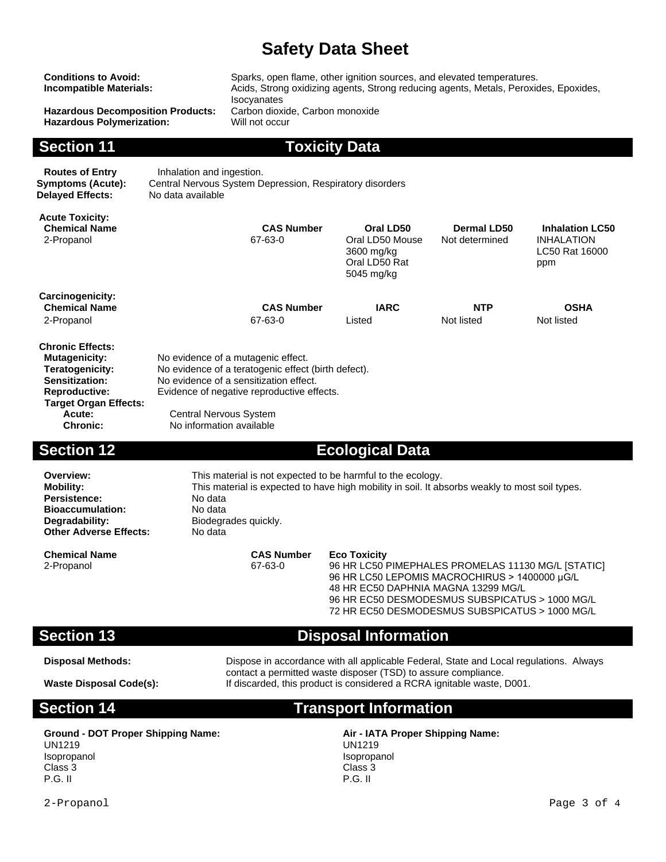| <b>Conditions to Avoid:</b><br><b>Incompatible Materials:</b><br><b>Hazardous Decomposition Products:</b><br><b>Hazardous Polymerization:</b>                                    |                                                                                                                                                                                                                        | Sparks, open flame, other ignition sources, and elevated temperatures.<br>Acids, Strong oxidizing agents, Strong reducing agents, Metals, Peroxides, Epoxides,<br>Isocyanates<br>Carbon dioxide, Carbon monoxide<br>Will not occur |                                                                                                                                                                                                                                                                       |                                      |                                                                      |  |  |
|----------------------------------------------------------------------------------------------------------------------------------------------------------------------------------|------------------------------------------------------------------------------------------------------------------------------------------------------------------------------------------------------------------------|------------------------------------------------------------------------------------------------------------------------------------------------------------------------------------------------------------------------------------|-----------------------------------------------------------------------------------------------------------------------------------------------------------------------------------------------------------------------------------------------------------------------|--------------------------------------|----------------------------------------------------------------------|--|--|
| <b>Section 11</b>                                                                                                                                                                |                                                                                                                                                                                                                        |                                                                                                                                                                                                                                    | <b>Toxicity Data</b>                                                                                                                                                                                                                                                  |                                      |                                                                      |  |  |
| <b>Routes of Entry</b><br><b>Symptoms (Acute):</b><br><b>Delayed Effects:</b>                                                                                                    | Inhalation and ingestion.<br>No data available                                                                                                                                                                         | Central Nervous System Depression, Respiratory disorders                                                                                                                                                                           |                                                                                                                                                                                                                                                                       |                                      |                                                                      |  |  |
| <b>Acute Toxicity:</b><br><b>Chemical Name</b><br>2-Propanol                                                                                                                     |                                                                                                                                                                                                                        | <b>CAS Number</b><br>67-63-0                                                                                                                                                                                                       | Oral LD50<br>Oral LD50 Mouse<br>3600 mg/kg<br>Oral LD50 Rat<br>5045 mg/kg                                                                                                                                                                                             | <b>Dermal LD50</b><br>Not determined | <b>Inhalation LC50</b><br><b>INHALATION</b><br>LC50 Rat 16000<br>ppm |  |  |
| Carcinogenicity:<br><b>Chemical Name</b><br>2-Propanol                                                                                                                           |                                                                                                                                                                                                                        | <b>CAS Number</b><br>67-63-0                                                                                                                                                                                                       | <b>IARC</b><br>Listed                                                                                                                                                                                                                                                 | <b>NTP</b><br>Not listed             | <b>OSHA</b><br>Not listed                                            |  |  |
| <b>Chronic Effects:</b><br><b>Mutagenicity:</b><br><b>Teratogenicity:</b><br>Sensitization:<br><b>Reproductive:</b><br><b>Target Organ Effects:</b><br>Acute:<br><b>Chronic:</b> | <b>Central Nervous System</b><br>No information available                                                                                                                                                              | No evidence of a mutagenic effect.<br>No evidence of a teratogenic effect (birth defect).<br>No evidence of a sensitization effect.<br>Evidence of negative reproductive effects.                                                  |                                                                                                                                                                                                                                                                       |                                      |                                                                      |  |  |
| <b>Section 12</b>                                                                                                                                                                |                                                                                                                                                                                                                        |                                                                                                                                                                                                                                    | <b>Ecological Data</b>                                                                                                                                                                                                                                                |                                      |                                                                      |  |  |
| Overview:<br><b>Mobility:</b><br>Persistence:<br><b>Bioaccumulation:</b><br>Degradability:<br><b>Other Adverse Effects:</b>                                                      | This material is not expected to be harmful to the ecology.<br>This material is expected to have high mobility in soil. It absorbs weakly to most soil types.<br>No data<br>No data<br>Biodegrades quickly.<br>No data |                                                                                                                                                                                                                                    |                                                                                                                                                                                                                                                                       |                                      |                                                                      |  |  |
| <b>Chemical Name</b><br>2-Propanol                                                                                                                                               |                                                                                                                                                                                                                        | <b>CAS Number</b><br>67-63-0                                                                                                                                                                                                       | <b>Eco Toxicity</b><br>96 HR LC50 PIMEPHALES PROMELAS 11130 MG/L [STATIC]<br>96 HR LC50 LEPOMIS MACROCHIRUS > 1400000 µG/L<br>48 HR EC50 DAPHNIA MAGNA 13299 MG/L<br>96 HR EC50 DESMODESMUS SUBSPICATUS > 1000 MG/L<br>72 HR EC50 DESMODESMUS SUBSPICATUS > 1000 MG/L |                                      |                                                                      |  |  |
| <b>Section 13</b>                                                                                                                                                                |                                                                                                                                                                                                                        |                                                                                                                                                                                                                                    | <b>Disposal Information</b>                                                                                                                                                                                                                                           |                                      |                                                                      |  |  |
|                                                                                                                                                                                  |                                                                                                                                                                                                                        |                                                                                                                                                                                                                                    |                                                                                                                                                                                                                                                                       |                                      |                                                                      |  |  |

**Disposal Methods:** Dispose in accordance with all applicable Federal, State and Local regulations. Always contact a permitted waste disposer (TSD) to assure compliance. Waste Disposal Code(s): If discarded, this product is considered a RCRA ignitable waste, D001.

### **Section 14 Transport Information**

**Ground - DOT Proper Shipping Name: Air - IATA Proper Shipping Name:** UN1219 Isopropanol Class 3 P.G. II

UN1219 Isopropanol Class 3 P.G. II